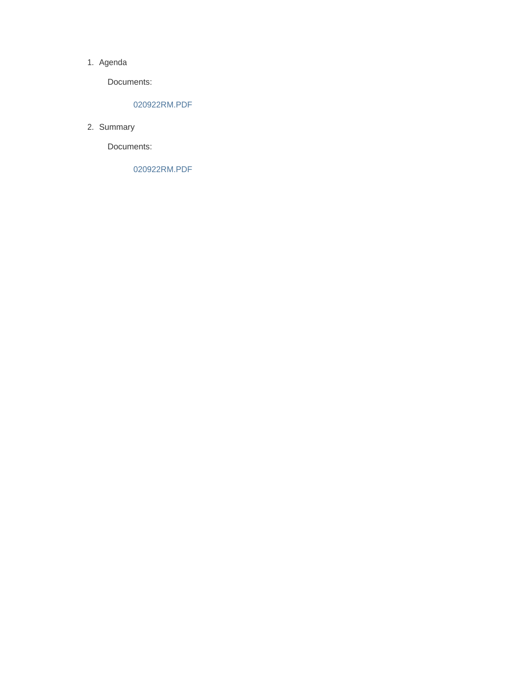#### 1. Agenda

Documents:

## 020922RM.PDF

2. Summary

Documents:

020922RM.PDF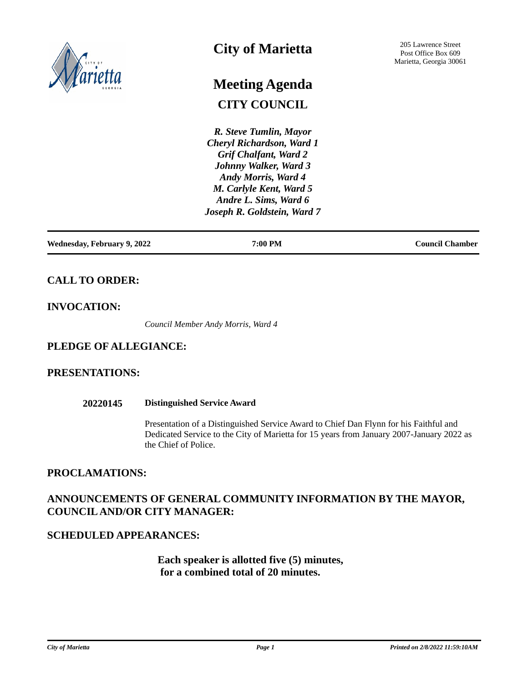

# **City of Marietta**

# **CITY COUNCIL Meeting Agenda**

*R. Steve Tumlin, Mayor Cheryl Richardson, Ward 1 Grif Chalfant, Ward 2 Johnny Walker, Ward 3 Andy Morris, Ward 4 M. Carlyle Kent, Ward 5 Andre L. Sims, Ward 6 Joseph R. Goldstein, Ward 7*

**Wednesday, February 9, 2022 7:00 PM Council Chamber**

# **CALL TO ORDER:**

# **INVOCATION:**

*Council Member Andy Morris, Ward 4*

# **PLEDGE OF ALLEGIANCE:**

# **PRESENTATIONS:**

## **20220145 Distinguished Service Award**

Presentation of a Distinguished Service Award to Chief Dan Flynn for his Faithful and Dedicated Service to the City of Marietta for 15 years from January 2007-January 2022 as the Chief of Police.

# **PROCLAMATIONS:**

# **ANNOUNCEMENTS OF GENERAL COMMUNITY INFORMATION BY THE MAYOR, COUNCIL AND/OR CITY MANAGER:**

# **SCHEDULED APPEARANCES:**

 **Each speaker is allotted five (5) minutes, for a combined total of 20 minutes.**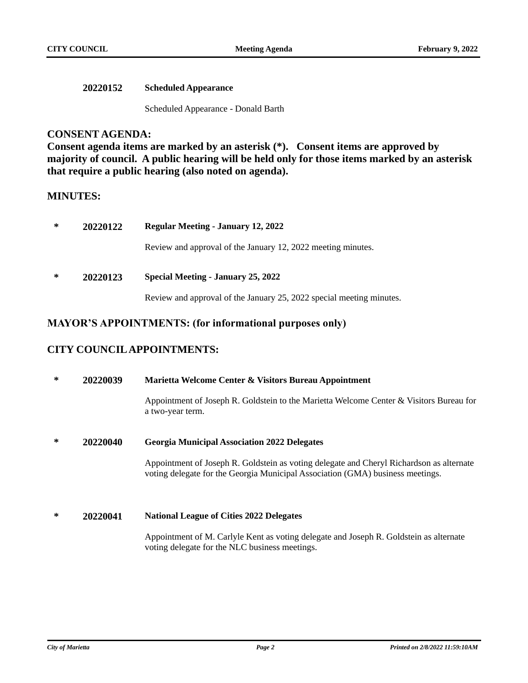| <b>20220152</b> | <b>Scheduled Appearance</b> |
|-----------------|-----------------------------|
|-----------------|-----------------------------|

Scheduled Appearance - Donald Barth

# **CONSENT AGENDA:**

**Consent agenda items are marked by an asterisk (\*). Consent items are approved by majority of council. A public hearing will be held only for those items marked by an asterisk that require a public hearing (also noted on agenda).**

## **MINUTES:**

| ∗                                                          | 20220122 | <b>Regular Meeting - January 12, 2022</b>                            |  |
|------------------------------------------------------------|----------|----------------------------------------------------------------------|--|
|                                                            |          | Review and approval of the January 12, 2022 meeting minutes.         |  |
| ∗<br><b>Special Meeting - January 25, 2022</b><br>20220123 |          |                                                                      |  |
|                                                            |          | Review and approval of the January 25, 2022 special meeting minutes. |  |

# **MAYOR'S APPOINTMENTS: (for informational purposes only)**

# **CITY COUNCIL APPOINTMENTS:**

**\* 20220039 Marietta Welcome Center & Visitors Bureau Appointment**

Appointment of Joseph R. Goldstein to the Marietta Welcome Center & Visitors Bureau for a two-year term.

**\* 20220040 Georgia Municipal Association 2022 Delegates**

Appointment of Joseph R. Goldstein as voting delegate and Cheryl Richardson as alternate voting delegate for the Georgia Municipal Association (GMA) business meetings.

**\* 20220041 National League of Cities 2022 Delegates**

Appointment of M. Carlyle Kent as voting delegate and Joseph R. Goldstein as alternate voting delegate for the NLC business meetings.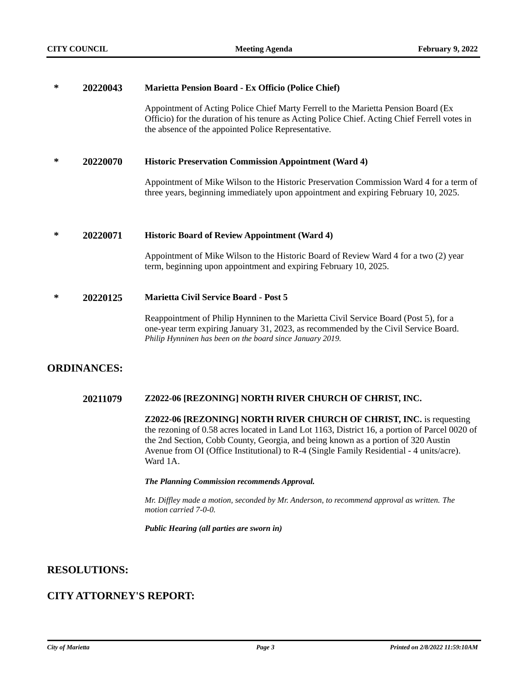## **\* 20220043 Marietta Pension Board - Ex Officio (Police Chief)**

Appointment of Acting Police Chief Marty Ferrell to the Marietta Pension Board (Ex Officio) for the duration of his tenure as Acting Police Chief. Acting Chief Ferrell votes in the absence of the appointed Police Representative.

## **\* 20220070 Historic Preservation Commission Appointment (Ward 4)**

Appointment of Mike Wilson to the Historic Preservation Commission Ward 4 for a term of three years, beginning immediately upon appointment and expiring February 10, 2025.

#### **\* 20220071 Historic Board of Review Appointment (Ward 4)**

Appointment of Mike Wilson to the Historic Board of Review Ward 4 for a two (2) year term, beginning upon appointment and expiring February 10, 2025.

## **\* 20220125 Marietta Civil Service Board - Post 5**

Reappointment of Philip Hynninen to the Marietta Civil Service Board (Post 5), for a one-year term expiring January 31, 2023, as recommended by the Civil Service Board. *Philip Hynninen has been on the board since January 2019.*

# **ORDINANCES:**

## **20211079 Z2022-06 [REZONING] NORTH RIVER CHURCH OF CHRIST, INC.**

**Z2022-06 [REZONING] NORTH RIVER CHURCH OF CHRIST, INC.** is requesting the rezoning of 0.58 acres located in Land Lot 1163, District 16, a portion of Parcel 0020 of the 2nd Section, Cobb County, Georgia, and being known as a portion of 320 Austin Avenue from OI (Office Institutional) to R-4 (Single Family Residential - 4 units/acre). Ward 1A.

#### *The Planning Commission recommends Approval.*

*Mr. Diffley made a motion, seconded by Mr. Anderson, to recommend approval as written. The motion carried 7-0-0.* 

*Public Hearing (all parties are sworn in)* 

# **RESOLUTIONS:**

# **CITY ATTORNEY'S REPORT:**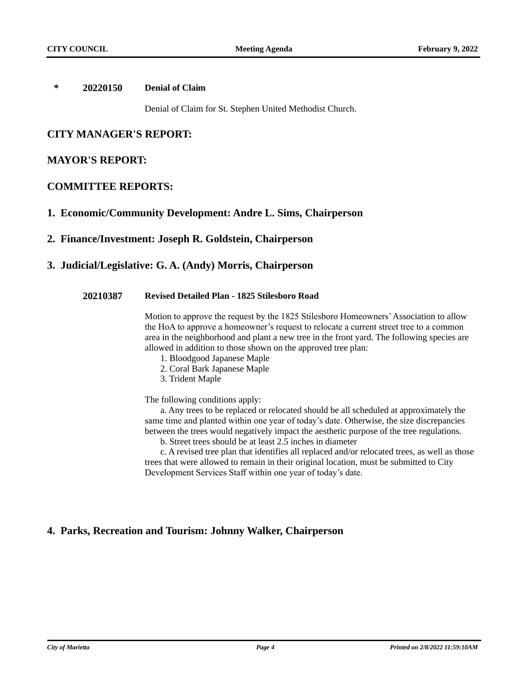## **\* 20220150 Denial of Claim**

Denial of Claim for St. Stephen United Methodist Church.

# **CITY MANAGER'S REPORT:**

## **MAYOR'S REPORT:**

## **COMMITTEE REPORTS:**

## **1. Economic/Community Development: Andre L. Sims, Chairperson**

## **2. Finance/Investment: Joseph R. Goldstein, Chairperson**

# **3. Judicial/Legislative: G. A. (Andy) Morris, Chairperson**

## **20210387 Revised Detailed Plan - 1825 Stilesboro Road**

Motion to approve the request by the 1825 Stilesboro Homeowners' Association to allow the HoA to approve a homeowner's request to relocate a current street tree to a common area in the neighborhood and plant a new tree in the front yard. The following species are allowed in addition to those shown on the approved tree plan:

- 1. Bloodgood Japanese Maple
- 2. Coral Bark Japanese Maple
- 3. Trident Maple

The following conditions apply:

a. Any trees to be replaced or relocated should be all scheduled at approximately the same time and planted within one year of today's date. Otherwise, the size discrepancies between the trees would negatively impact the aesthetic purpose of the tree regulations.

b. Street trees should be at least 2.5 inches in diameter

c. A revised tree plan that identifies all replaced and/or relocated trees, as well as those trees that were allowed to remain in their original location, must be submitted to City Development Services Staff within one year of today's date.

# **4. Parks, Recreation and Tourism: Johnny Walker, Chairperson**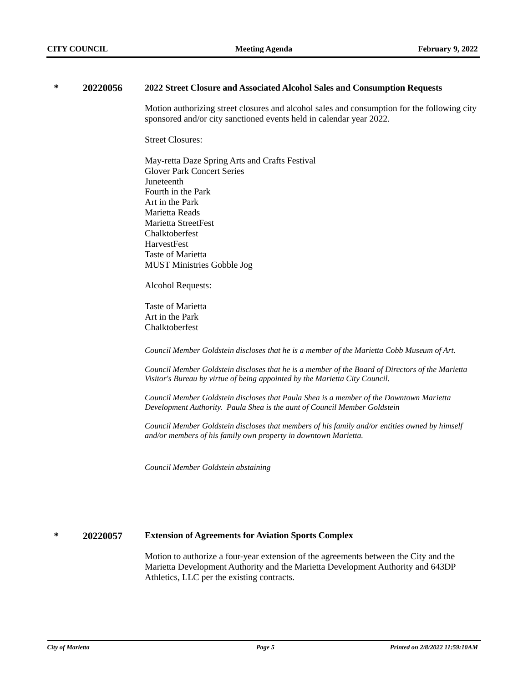#### **\* 20220056 2022 Street Closure and Associated Alcohol Sales and Consumption Requests**

Motion authorizing street closures and alcohol sales and consumption for the following city sponsored and/or city sanctioned events held in calendar year 2022.

Street Closures:

May-retta Daze Spring Arts and Crafts Festival Glover Park Concert Series Juneteenth · Fourth in the Park Art in the Park Marietta Reads · Marietta StreetFest **Chalktoberfest** · HarvestFest Taste of Marietta · MUST Ministries Gobble Jog

Alcohol Requests:

Taste of Marietta Art in the Park **Chalktoberfest** 

*Council Member Goldstein discloses that he is a member of the Marietta Cobb Museum of Art.*

*Council Member Goldstein discloses that he is a member of the Board of Directors of the Marietta Visitor's Bureau by virtue of being appointed by the Marietta City Council.*

*Council Member Goldstein discloses that Paula Shea is a member of the Downtown Marietta Development Authority. Paula Shea is the aunt of Council Member Goldstein*

*Council Member Goldstein discloses that members of his family and/or entities owned by himself and/or members of his family own property in downtown Marietta.*

*Council Member Goldstein abstaining*

## **\* 20220057 Extension of Agreements for Aviation Sports Complex**

Motion to authorize a four-year extension of the agreements between the City and the Marietta Development Authority and the Marietta Development Authority and 643DP Athletics, LLC per the existing contracts.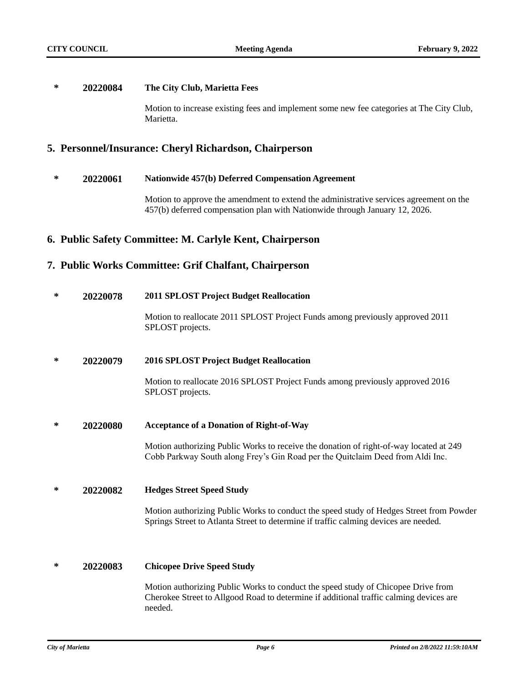## **\* 20220084 The City Club, Marietta Fees**

Motion to increase existing fees and implement some new fee categories at The City Club, Marietta.

# **5. Personnel/Insurance: Cheryl Richardson, Chairperson**

## **\* 20220061 Nationwide 457(b) Deferred Compensation Agreement**

Motion to approve the amendment to extend the administrative services agreement on the 457(b) deferred compensation plan with Nationwide through January 12, 2026.

# **6. Public Safety Committee: M. Carlyle Kent, Chairperson**

# **7. Public Works Committee: Grif Chalfant, Chairperson**

## **\* 20220078 2011 SPLOST Project Budget Reallocation**

Motion to reallocate 2011 SPLOST Project Funds among previously approved 2011 SPLOST projects.

## **\* 20220079 2016 SPLOST Project Budget Reallocation**

Motion to reallocate 2016 SPLOST Project Funds among previously approved 2016 SPLOST projects.

## **\* 20220080 Acceptance of a Donation of Right-of-Way**

Motion authorizing Public Works to receive the donation of right-of-way located at 249 Cobb Parkway South along Frey's Gin Road per the Quitclaim Deed from Aldi Inc.

## **\* 20220082 Hedges Street Speed Study**

Motion authorizing Public Works to conduct the speed study of Hedges Street from Powder Springs Street to Atlanta Street to determine if traffic calming devices are needed.

## **\* 20220083 Chicopee Drive Speed Study**

Motion authorizing Public Works to conduct the speed study of Chicopee Drive from Cherokee Street to Allgood Road to determine if additional traffic calming devices are needed.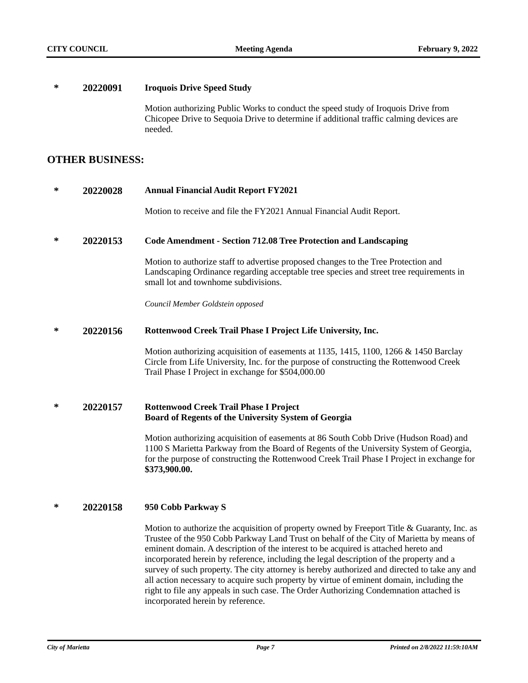## **\* 20220091 Iroquois Drive Speed Study**

Motion authorizing Public Works to conduct the speed study of Iroquois Drive from Chicopee Drive to Sequoia Drive to determine if additional traffic calming devices are needed.

## **OTHER BUSINESS:**

## **\* 20220028 Annual Financial Audit Report FY2021**

Motion to receive and file the FY2021 Annual Financial Audit Report.

## **\* 20220153 Code Amendment - Section 712.08 Tree Protection and Landscaping**

Motion to authorize staff to advertise proposed changes to the Tree Protection and Landscaping Ordinance regarding acceptable tree species and street tree requirements in small lot and townhome subdivisions.

*Council Member Goldstein opposed*

#### **\* 20220156 Rottenwood Creek Trail Phase I Project Life University, Inc.**

Motion authorizing acquisition of easements at 1135, 1415, 1100, 1266 & 1450 Barclay Circle from Life University, Inc. for the purpose of constructing the Rottenwood Creek Trail Phase I Project in exchange for \$504,000.00

## **\* 20220157 Rottenwood Creek Trail Phase I Project Board of Regents of the University System of Georgia**

Motion authorizing acquisition of easements at 86 South Cobb Drive (Hudson Road) and 1100 S Marietta Parkway from the Board of Regents of the University System of Georgia, for the purpose of constructing the Rottenwood Creek Trail Phase I Project in exchange for **\$373,900.00.**

## **\* 20220158 950 Cobb Parkway S**

Motion to authorize the acquisition of property owned by Freeport Title  $\&$  Guaranty, Inc. as Trustee of the 950 Cobb Parkway Land Trust on behalf of the City of Marietta by means of eminent domain. A description of the interest to be acquired is attached hereto and incorporated herein by reference, including the legal description of the property and a survey of such property. The city attorney is hereby authorized and directed to take any and all action necessary to acquire such property by virtue of eminent domain, including the right to file any appeals in such case. The Order Authorizing Condemnation attached is incorporated herein by reference.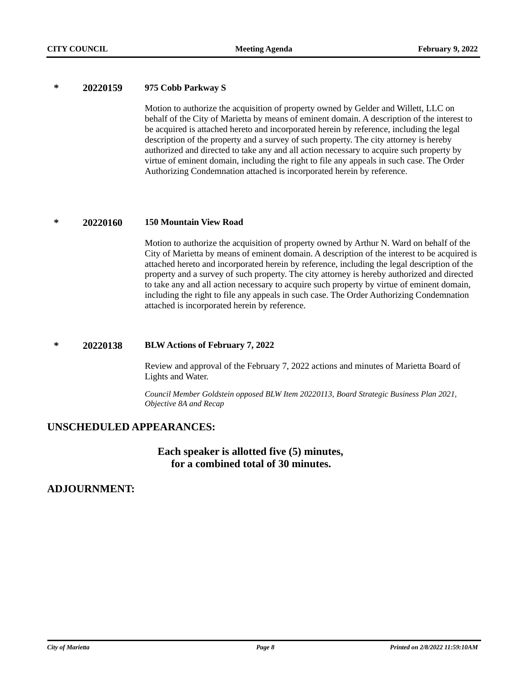## **\* 20220159 975 Cobb Parkway S**

Motion to authorize the acquisition of property owned by Gelder and Willett, LLC on behalf of the City of Marietta by means of eminent domain. A description of the interest to be acquired is attached hereto and incorporated herein by reference, including the legal description of the property and a survey of such property. The city attorney is hereby authorized and directed to take any and all action necessary to acquire such property by virtue of eminent domain, including the right to file any appeals in such case. The Order Authorizing Condemnation attached is incorporated herein by reference.

## **\* 20220160 150 Mountain View Road**

Motion to authorize the acquisition of property owned by Arthur N. Ward on behalf of the City of Marietta by means of eminent domain. A description of the interest to be acquired is attached hereto and incorporated herein by reference, including the legal description of the property and a survey of such property. The city attorney is hereby authorized and directed to take any and all action necessary to acquire such property by virtue of eminent domain, including the right to file any appeals in such case. The Order Authorizing Condemnation attached is incorporated herein by reference.

## **\* 20220138 BLW Actions of February 7, 2022**

Review and approval of the February 7, 2022 actions and minutes of Marietta Board of Lights and Water.

*Council Member Goldstein opposed BLW Item 20220113, Board Strategic Business Plan 2021, Objective 8A and Recap*

# **UNSCHEDULED APPEARANCES:**

# **Each speaker is allotted five (5) minutes, for a combined total of 30 minutes.**

# **ADJOURNMENT:**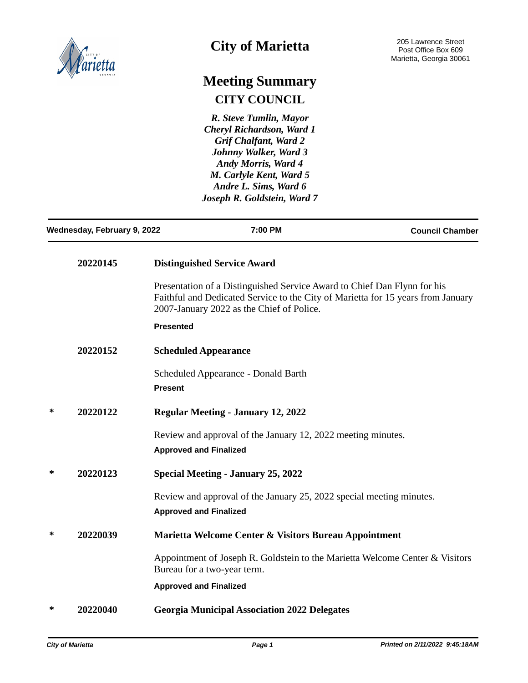

# **City of Marietta**

# **Meeting Summary CITY COUNCIL**

*R. Steve Tumlin, Mayor Cheryl Richardson, Ward 1 Grif Chalfant, Ward 2 Johnny Walker, Ward 3 Andy Morris, Ward 4 M. Carlyle Kent, Ward 5 Andre L. Sims, Ward 6 Joseph R. Goldstein, Ward 7*

| Wednesday, February 9, 2022 |          |                  | 7:00 PM                                                                                                                                                                                                   | <b>Council Chamber</b> |
|-----------------------------|----------|------------------|-----------------------------------------------------------------------------------------------------------------------------------------------------------------------------------------------------------|------------------------|
|                             | 20220145 |                  | <b>Distinguished Service Award</b>                                                                                                                                                                        |                        |
|                             |          |                  | Presentation of a Distinguished Service Award to Chief Dan Flynn for his<br>Faithful and Dedicated Service to the City of Marietta for 15 years from January<br>2007-January 2022 as the Chief of Police. |                        |
|                             |          | <b>Presented</b> |                                                                                                                                                                                                           |                        |
|                             | 20220152 |                  | <b>Scheduled Appearance</b>                                                                                                                                                                               |                        |
|                             |          | <b>Present</b>   | Scheduled Appearance - Donald Barth                                                                                                                                                                       |                        |
| ∗                           | 20220122 |                  | <b>Regular Meeting - January 12, 2022</b>                                                                                                                                                                 |                        |
|                             |          |                  | Review and approval of the January 12, 2022 meeting minutes.<br><b>Approved and Finalized</b>                                                                                                             |                        |
| ∗                           | 20220123 |                  | <b>Special Meeting - January 25, 2022</b>                                                                                                                                                                 |                        |
|                             |          |                  | Review and approval of the January 25, 2022 special meeting minutes.<br><b>Approved and Finalized</b>                                                                                                     |                        |
| ∗                           | 20220039 |                  | Marietta Welcome Center & Visitors Bureau Appointment                                                                                                                                                     |                        |
|                             |          |                  | Appointment of Joseph R. Goldstein to the Marietta Welcome Center & Visitors<br>Bureau for a two-year term.                                                                                               |                        |
|                             |          |                  | <b>Approved and Finalized</b>                                                                                                                                                                             |                        |
| ∗                           | 20220040 |                  | <b>Georgia Municipal Association 2022 Delegates</b>                                                                                                                                                       |                        |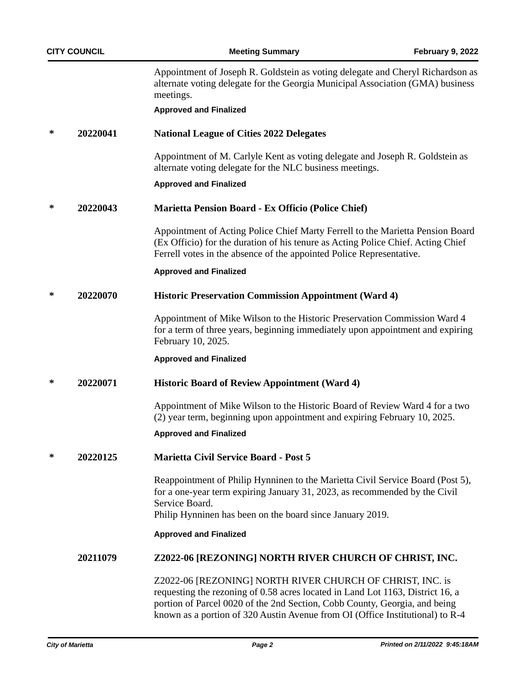Appointment of Joseph R. Goldstein as voting delegate and Cheryl Richardson as alternate voting delegate for the Georgia Municipal Association (GMA) business meetings.

## **Approved and Finalized**

**\* 20220041 National League of Cities 2022 Delegates**

Appointment of M. Carlyle Kent as voting delegate and Joseph R. Goldstein as alternate voting delegate for the NLC business meetings.

## **Approved and Finalized**

## **\* 20220043 Marietta Pension Board - Ex Officio (Police Chief)**

Appointment of Acting Police Chief Marty Ferrell to the Marietta Pension Board (Ex Officio) for the duration of his tenure as Acting Police Chief. Acting Chief Ferrell votes in the absence of the appointed Police Representative.

## **Approved and Finalized**

## **\* 20220070 Historic Preservation Commission Appointment (Ward 4)**

Appointment of Mike Wilson to the Historic Preservation Commission Ward 4 for a term of three years, beginning immediately upon appointment and expiring February 10, 2025.

## **Approved and Finalized**

## **\* 20220071 Historic Board of Review Appointment (Ward 4)**

Appointment of Mike Wilson to the Historic Board of Review Ward 4 for a two (2) year term, beginning upon appointment and expiring February 10, 2025.

## **Approved and Finalized**

**\* 20220125 Marietta Civil Service Board - Post 5**

Reappointment of Philip Hynninen to the Marietta Civil Service Board (Post 5), for a one-year term expiring January 31, 2023, as recommended by the Civil Service Board. Philip Hynninen has been on the board since January 2019.

## **Approved and Finalized**

## **20211079 Z2022-06 [REZONING] NORTH RIVER CHURCH OF CHRIST, INC.**

Z2022-06 [REZONING] NORTH RIVER CHURCH OF CHRIST, INC. is requesting the rezoning of 0.58 acres located in Land Lot 1163, District 16, a portion of Parcel 0020 of the 2nd Section, Cobb County, Georgia, and being known as a portion of 320 Austin Avenue from OI (Office Institutional) to R-4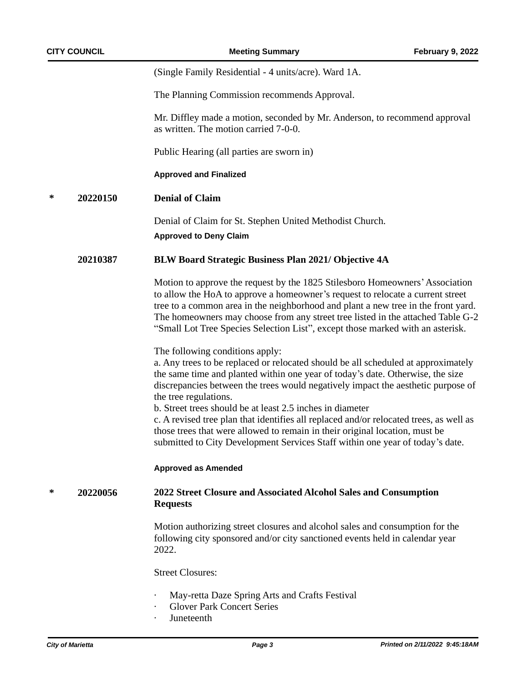(Single Family Residential - 4 units/acre). Ward 1A.

The Planning Commission recommends Approval.

Mr. Diffley made a motion, seconded by Mr. Anderson, to recommend approval as written. The motion carried 7-0-0.

Public Hearing (all parties are sworn in)

**Approved and Finalized**

**\* 20220150 Denial of Claim**

Denial of Claim for St. Stephen United Methodist Church. **Approved to Deny Claim**

## **20210387 BLW Board Strategic Business Plan 2021/ Objective 4A**

Motion to approve the request by the 1825 Stilesboro Homeowners'Association to allow the HoA to approve a homeowner's request to relocate a current street tree to a common area in the neighborhood and plant a new tree in the front yard. The homeowners may choose from any street tree listed in the attached Table G-2 "Small Lot Tree Species Selection List", except those marked with an asterisk.

The following conditions apply:

a. Any trees to be replaced or relocated should be all scheduled at approximately the same time and planted within one year of today's date. Otherwise, the size discrepancies between the trees would negatively impact the aesthetic purpose of the tree regulations.

b. Street trees should be at least 2.5 inches in diameter

c. A revised tree plan that identifies all replaced and/or relocated trees, as well as those trees that were allowed to remain in their original location, must be submitted to City Development Services Staff within one year of today's date.

## **Approved as Amended**

## **\* 20220056 2022 Street Closure and Associated Alcohol Sales and Consumption Requests**

Motion authorizing street closures and alcohol sales and consumption for the following city sponsored and/or city sanctioned events held in calendar year 2022.

Street Closures:

- May-retta Daze Spring Arts and Crafts Festival
- **Glover Park Concert Series**
- · Juneteenth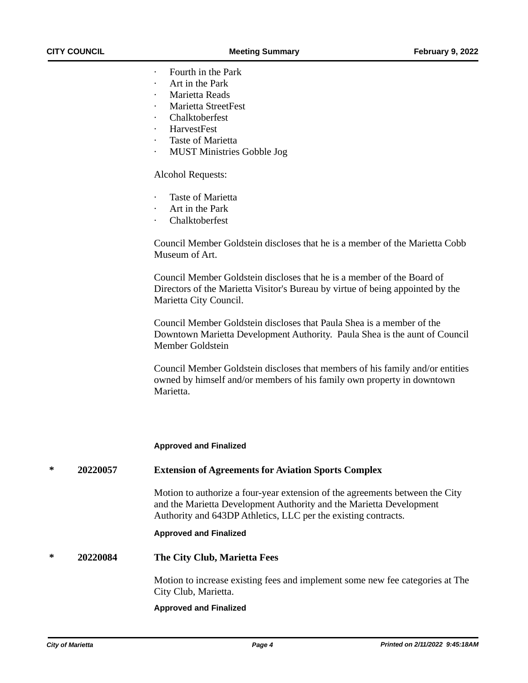- Fourth in the Park
- Art in the Park
- Marietta Reads
- · Marietta StreetFest
- **Chalktoberfest**
- · HarvestFest
- Taste of Marietta
- **MUST Ministries Gobble Jog**

## Alcohol Requests:

- Taste of Marietta
- Art in the Park
- **Chalktoberfest**

Council Member Goldstein discloses that he is a member of the Marietta Cobb Museum of Art.

Council Member Goldstein discloses that he is a member of the Board of Directors of the Marietta Visitor's Bureau by virtue of being appointed by the Marietta City Council.

Council Member Goldstein discloses that Paula Shea is a member of the Downtown Marietta Development Authority. Paula Shea is the aunt of Council Member Goldstein

Council Member Goldstein discloses that members of his family and/or entities owned by himself and/or members of his family own property in downtown Marietta.

## **Approved and Finalized**

## **\* 20220057 Extension of Agreements for Aviation Sports Complex**

Motion to authorize a four-year extension of the agreements between the City and the Marietta Development Authority and the Marietta Development Authority and 643DP Athletics, LLC per the existing contracts.

#### **Approved and Finalized**

**\* 20220084 The City Club, Marietta Fees**

Motion to increase existing fees and implement some new fee categories at The City Club, Marietta.

## **Approved and Finalized**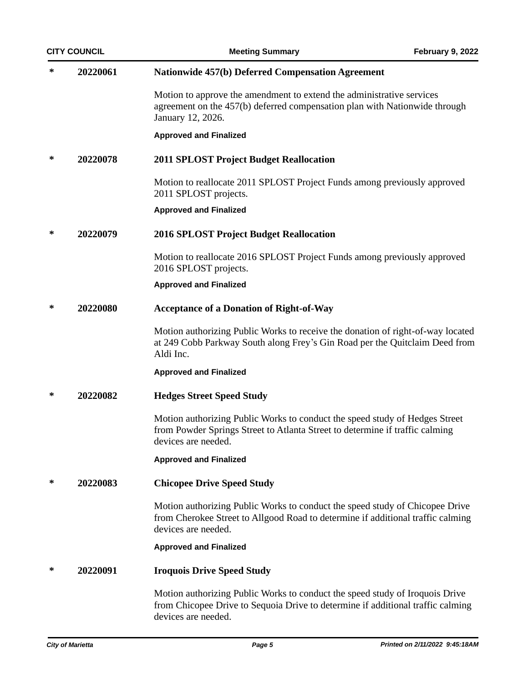|   | <b>CITY COUNCIL</b> | <b>Meeting Summary</b>                                                                                                                                                                 | <b>February 9, 2022</b> |
|---|---------------------|----------------------------------------------------------------------------------------------------------------------------------------------------------------------------------------|-------------------------|
| ∗ | 20220061            | <b>Nationwide 457(b) Deferred Compensation Agreement</b>                                                                                                                               |                         |
|   |                     | Motion to approve the amendment to extend the administrative services<br>agreement on the 457(b) deferred compensation plan with Nationwide through<br>January 12, 2026.               |                         |
|   |                     | <b>Approved and Finalized</b>                                                                                                                                                          |                         |
| ∗ | 20220078            | <b>2011 SPLOST Project Budget Reallocation</b>                                                                                                                                         |                         |
|   |                     | Motion to reallocate 2011 SPLOST Project Funds among previously approved<br>2011 SPLOST projects.                                                                                      |                         |
|   |                     | <b>Approved and Finalized</b>                                                                                                                                                          |                         |
| ∗ | 20220079            | <b>2016 SPLOST Project Budget Reallocation</b>                                                                                                                                         |                         |
|   |                     | Motion to reallocate 2016 SPLOST Project Funds among previously approved<br>2016 SPLOST projects.                                                                                      |                         |
|   |                     | <b>Approved and Finalized</b>                                                                                                                                                          |                         |
| ∗ | 20220080            | <b>Acceptance of a Donation of Right-of-Way</b>                                                                                                                                        |                         |
|   |                     | Motion authorizing Public Works to receive the donation of right-of-way located<br>at 249 Cobb Parkway South along Frey's Gin Road per the Quitclaim Deed from<br>Aldi Inc.            |                         |
|   |                     | <b>Approved and Finalized</b>                                                                                                                                                          |                         |
| ∗ | 20220082            | <b>Hedges Street Speed Study</b>                                                                                                                                                       |                         |
|   |                     | Motion authorizing Public Works to conduct the speed study of Hedges Street<br>from Powder Springs Street to Atlanta Street to determine if traffic calming<br>devices are needed.     |                         |
|   |                     | <b>Approved and Finalized</b>                                                                                                                                                          |                         |
| ∗ | 20220083            | <b>Chicopee Drive Speed Study</b>                                                                                                                                                      |                         |
|   |                     | Motion authorizing Public Works to conduct the speed study of Chicopee Drive<br>from Cherokee Street to Allgood Road to determine if additional traffic calming<br>devices are needed. |                         |
|   |                     | <b>Approved and Finalized</b>                                                                                                                                                          |                         |
| ∗ | 20220091            | <b>Iroquois Drive Speed Study</b>                                                                                                                                                      |                         |
|   |                     | Motion authorizing Public Works to conduct the speed study of Iroquois Drive<br>from Chicopee Drive to Sequoia Drive to determine if additional traffic calming<br>devices are needed. |                         |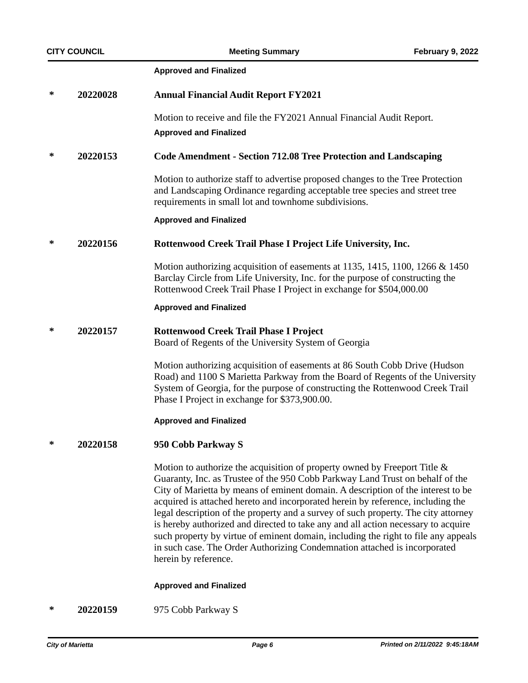## **Approved and Finalized**

| ∗ | 20220028 | <b>Annual Financial Audit Report FY2021</b>                                                                                                                                                                                                                                                                                                                                                                                                                                                                                                                                                                                                                                                                |
|---|----------|------------------------------------------------------------------------------------------------------------------------------------------------------------------------------------------------------------------------------------------------------------------------------------------------------------------------------------------------------------------------------------------------------------------------------------------------------------------------------------------------------------------------------------------------------------------------------------------------------------------------------------------------------------------------------------------------------------|
|   |          | Motion to receive and file the FY2021 Annual Financial Audit Report.<br><b>Approved and Finalized</b>                                                                                                                                                                                                                                                                                                                                                                                                                                                                                                                                                                                                      |
| ∗ | 20220153 | <b>Code Amendment - Section 712.08 Tree Protection and Landscaping</b>                                                                                                                                                                                                                                                                                                                                                                                                                                                                                                                                                                                                                                     |
|   |          | Motion to authorize staff to advertise proposed changes to the Tree Protection<br>and Landscaping Ordinance regarding acceptable tree species and street tree<br>requirements in small lot and townhome subdivisions.                                                                                                                                                                                                                                                                                                                                                                                                                                                                                      |
|   |          | <b>Approved and Finalized</b>                                                                                                                                                                                                                                                                                                                                                                                                                                                                                                                                                                                                                                                                              |
| ∗ | 20220156 | Rottenwood Creek Trail Phase I Project Life University, Inc.                                                                                                                                                                                                                                                                                                                                                                                                                                                                                                                                                                                                                                               |
|   |          | Motion authorizing acquisition of easements at 1135, 1415, 1100, 1266 & 1450<br>Barclay Circle from Life University, Inc. for the purpose of constructing the<br>Rottenwood Creek Trail Phase I Project in exchange for \$504,000.00                                                                                                                                                                                                                                                                                                                                                                                                                                                                       |
|   |          | <b>Approved and Finalized</b>                                                                                                                                                                                                                                                                                                                                                                                                                                                                                                                                                                                                                                                                              |
| ∗ | 20220157 | <b>Rottenwood Creek Trail Phase I Project</b><br>Board of Regents of the University System of Georgia                                                                                                                                                                                                                                                                                                                                                                                                                                                                                                                                                                                                      |
|   |          | Motion authorizing acquisition of easements at 86 South Cobb Drive (Hudson<br>Road) and 1100 S Marietta Parkway from the Board of Regents of the University<br>System of Georgia, for the purpose of constructing the Rottenwood Creek Trail<br>Phase I Project in exchange for \$373,900.00.                                                                                                                                                                                                                                                                                                                                                                                                              |
|   |          | <b>Approved and Finalized</b>                                                                                                                                                                                                                                                                                                                                                                                                                                                                                                                                                                                                                                                                              |
| ∗ | 20220158 | 950 Cobb Parkway S                                                                                                                                                                                                                                                                                                                                                                                                                                                                                                                                                                                                                                                                                         |
|   |          | Motion to authorize the acquisition of property owned by Freeport Title $\&$<br>Guaranty, Inc. as Trustee of the 950 Cobb Parkway Land Trust on behalf of the<br>City of Marietta by means of eminent domain. A description of the interest to be<br>acquired is attached hereto and incorporated herein by reference, including the<br>legal description of the property and a survey of such property. The city attorney<br>is hereby authorized and directed to take any and all action necessary to acquire<br>such property by virtue of eminent domain, including the right to file any appeals<br>in such case. The Order Authorizing Condemnation attached is incorporated<br>herein by reference. |

## **Approved and Finalized**

**\* 20220159** 975 Cobb Parkway S